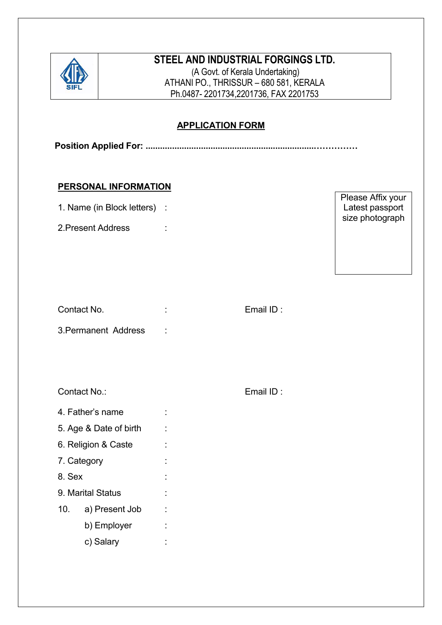

# **STEEL AND INDUSTRIAL FORGINGS LTD.**

(A Govt. of Kerala Undertaking) ATHANI PO., THRISSUR – 680 581, KERALA Ph.0487- 2201734,2201736, FAX 2201753

## **APPLICATION FORM**

**Position Applied For: ......................................................................……………**

#### **PERSONAL INFORMATION**

| 1. Name (in Block letters) : |  |
|------------------------------|--|
|                              |  |

2. Present Address :

| Please Affix your |  |
|-------------------|--|
| Latest passport   |  |
| size photograph   |  |
|                   |  |

| Contact No.          |              | Email $ID:$ |  |
|----------------------|--------------|-------------|--|
| 3. Permanent Address | $\mathbb{R}$ |             |  |

Contact No.: Email ID :

- 4. Father's name :
- 5. Age & Date of birth :
- 6. Religion & Caste :
- 7. Category :
- 8. Sex :
- 9. Marital Status
- 10. a) Present Job :
	- b) Employer :
	- c) Salary :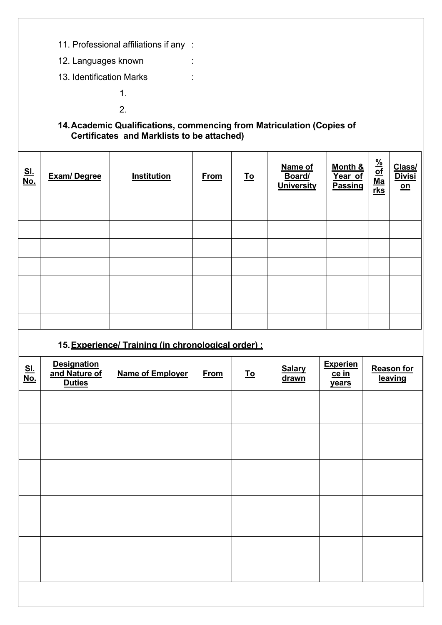- 11. Professional affiliations if any :
- 12. Languages known :
- 13. Identification Marks :
	- 1.
	- 2.

### **14.Academic Qualifications, commencing from Matriculation (Copies of Certificates and Marklists to be attached)**

| <u>SI.</u><br><u>No.</u> | <b>Exam/Degree</b> | <b>Institution</b> | <b>From</b> | <u>To</u> | Name of<br>Board/<br><b>University</b> | Month &<br>Year of<br><b>Passing</b> | $\frac{\frac{96}{\text{of}}}{\text{Ma}}$ | Class/<br><b>Divisi</b><br>$\underline{\mathsf{on}}$ |
|--------------------------|--------------------|--------------------|-------------|-----------|----------------------------------------|--------------------------------------|------------------------------------------|------------------------------------------------------|
|                          |                    |                    |             |           |                                        |                                      |                                          |                                                      |
|                          |                    |                    |             |           |                                        |                                      |                                          |                                                      |
|                          |                    |                    |             |           |                                        |                                      |                                          |                                                      |
|                          |                    |                    |             |           |                                        |                                      |                                          |                                                      |
|                          |                    |                    |             |           |                                        |                                      |                                          |                                                      |
|                          |                    |                    |             |           |                                        |                                      |                                          |                                                      |
|                          |                    |                    |             |           |                                        |                                      |                                          |                                                      |

## **15.Experience/ Training (in chronological order) :**

| <u>SI.</u><br><u>No.</u> | Designation<br>and Nature of<br><b>Duties</b> | <b>Name of Employer</b> | <b>From</b> | <u>To</u> | <b>Salary</b><br>drawn | <b>Experien</b><br>ce in<br>years | <b>Reason for</b><br>leaving |
|--------------------------|-----------------------------------------------|-------------------------|-------------|-----------|------------------------|-----------------------------------|------------------------------|
|                          |                                               |                         |             |           |                        |                                   |                              |
|                          |                                               |                         |             |           |                        |                                   |                              |
|                          |                                               |                         |             |           |                        |                                   |                              |
|                          |                                               |                         |             |           |                        |                                   |                              |
|                          |                                               |                         |             |           |                        |                                   |                              |
|                          |                                               |                         |             |           |                        |                                   |                              |
|                          |                                               |                         |             |           |                        |                                   |                              |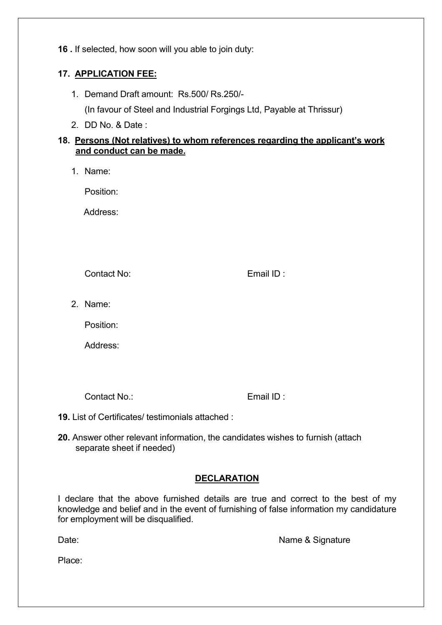**16 .** If selected, how soon will you able to join duty:

### **17. APPLICATION FEE:**

- 1. Demand Draft amount: Rs.500/ Rs.250/- (In favour of Steel and Industrial Forgings Ltd, Payable at Thrissur)
- 2. DD No. & Date :

#### **18. Persons (Not relatives) to whom references regarding the applicant's work and conduct can be made.**

1. Name:

Position:

Address:

Contact No: Email ID :

2. Name:

Position:

Address:

Contact No.: Email ID :

- **19.** List of Certificates/ testimonials attached :
- **20.** Answer other relevant information, the candidates wishes to furnish (attach separate sheet if needed)

# **DECLARATION**

I declare that the above furnished details are true and correct to the best of my knowledge and belief and in the event of furnishing of false information my candidature for employment will be disqualified.

Date: Name & Signature

Place: